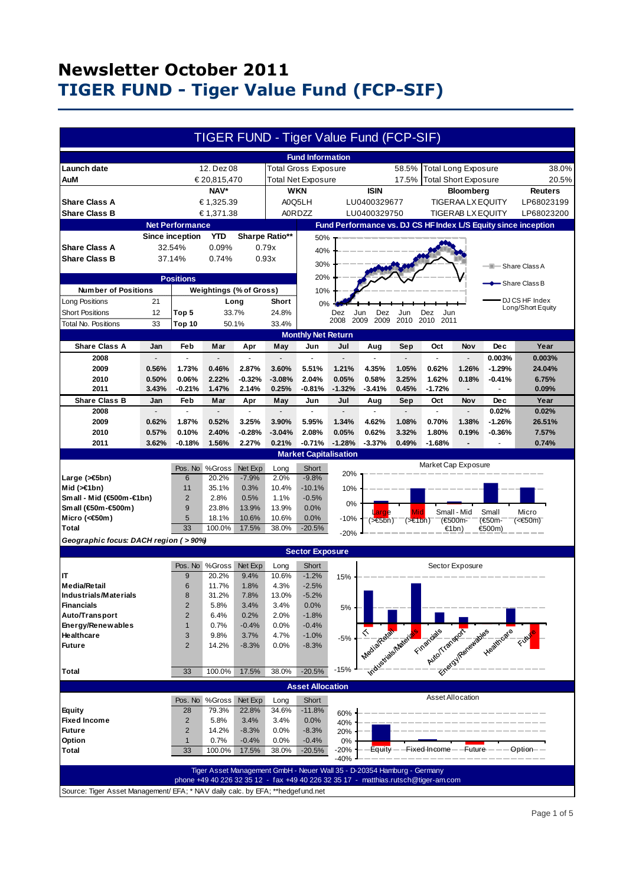|                                                                                  |                |                             |                |                         |                |                              |                                          | <b>TIGER FUND - Tiger Value Fund (FCP-SIF)</b>                                     |                      |                             |                            |                                                     |                                                                |
|----------------------------------------------------------------------------------|----------------|-----------------------------|----------------|-------------------------|----------------|------------------------------|------------------------------------------|------------------------------------------------------------------------------------|----------------------|-----------------------------|----------------------------|-----------------------------------------------------|----------------------------------------------------------------|
|                                                                                  |                |                             |                |                         |                | <b>Fund Information</b>      |                                          |                                                                                    |                      |                             |                            |                                                     |                                                                |
| Launch date                                                                      |                |                             | 12. Dez 08     |                         |                | <b>Total Gross Exposure</b>  |                                          |                                                                                    | 58.5%                |                             | <b>Total Long Exposure</b> |                                                     | 38.0%                                                          |
| AuM                                                                              |                |                             | € 20,815,470   |                         |                | <b>Total Net Exposure</b>    |                                          |                                                                                    | 17.5%                | <b>Total Short Exposure</b> |                            |                                                     | 20.5%                                                          |
|                                                                                  |                |                             | NAV*           |                         |                | <b>WKN</b>                   |                                          | <b>ISIN</b>                                                                        |                      |                             | <b>Bloomberg</b>           |                                                     | <b>Reuters</b>                                                 |
| € 1,325.39<br><b>Share Class A</b>                                               |                |                             | A0Q5LH         |                         |                |                              | LU0400329677<br><b>TIGERAA LX EQUITY</b> |                                                                                    |                      | LP68023199                  |                            |                                                     |                                                                |
| <b>Share Class B</b>                                                             |                |                             |                |                         |                | <b>A0RDZZ</b>                |                                          | LU0400329750                                                                       |                      |                             | <b>TIGERAB LX EQUITY</b>   |                                                     |                                                                |
|                                                                                  |                |                             | € 1,371.38     |                         |                |                              |                                          |                                                                                    |                      |                             |                            |                                                     | LP68023200                                                     |
|                                                                                  |                | <b>Net Performance</b>      |                |                         |                |                              |                                          |                                                                                    |                      |                             |                            |                                                     | Fund Performance vs. DJ CS HF Index L/S Equity since inception |
|                                                                                  |                | <b>Since inception</b>      | <b>YTD</b>     |                         | Sharpe Ratio** | 50%                          |                                          |                                                                                    |                      |                             |                            |                                                     |                                                                |
| <b>Share Class A</b>                                                             |                | 32.54%                      | 0.09%          |                         | 0.79x          | 40%                          |                                          |                                                                                    |                      |                             |                            |                                                     |                                                                |
| <b>Share Class B</b>                                                             |                | 37.14%                      | 0.74%          |                         | 0.93x          | 30%                          |                                          |                                                                                    |                      |                             |                            | --                                                  | Share Class A                                                  |
|                                                                                  |                |                             |                |                         |                |                              |                                          |                                                                                    |                      |                             |                            |                                                     |                                                                |
|                                                                                  |                | <b>Positions</b>            |                |                         |                | 20%                          |                                          |                                                                                    |                      |                             |                            |                                                     | -Share Class B                                                 |
| <b>Number of Positions</b>                                                       |                |                             |                | Weightings (% of Gross) |                | 10%                          |                                          |                                                                                    |                      |                             |                            |                                                     |                                                                |
| Long Positions                                                                   | 21             |                             |                | Long                    | Short          | 0%                           |                                          |                                                                                    |                      |                             |                            |                                                     | DJ CS HF Index<br>Long/Short Equity                            |
| <b>Short Positions</b>                                                           | 12             | Top 5                       |                | 33.7%                   | 24.8%          |                              | Dez                                      | Jun<br>Dez                                                                         | Jun                  | Dez<br>Jun                  |                            |                                                     |                                                                |
| Total No. Positions                                                              | 33             | Top 10                      |                | 50.1%                   | 33.4%          |                              | 2008                                     | 2009<br>2009                                                                       | 2010                 | 2010 2011                   |                            |                                                     |                                                                |
|                                                                                  |                |                             |                |                         |                | <b>Monthly Net Return</b>    |                                          |                                                                                    |                      |                             |                            |                                                     |                                                                |
| <b>Share Class A</b>                                                             | Jan            | Feb                         | Mar            | Apr                     | May            | Jun                          | Jul                                      | Aug                                                                                | Sep                  | Oct                         | Nov                        | <b>Dec</b>                                          | Year                                                           |
| 2008                                                                             |                | ä,                          |                |                         |                | $\overline{a}$               |                                          |                                                                                    | $\overline{a}$       | ÷.                          | ÷.                         | 0.003%                                              | 0.003%                                                         |
| 2009                                                                             | 0.56%          | 1.73%                       | 0.46%          | 2.87%                   | 3.60%          | 5.51%                        | 1.21%                                    | 4.35%                                                                              | 1.05%                | 0.62%                       | 1.26%                      | $-1.29%$                                            | 24.04%                                                         |
| 2010                                                                             | 0.50%          | 0.06%                       | 2.22%          | $-0.32%$                | $-3.08%$       | 2.04%                        | 0.05%                                    | 0.58%                                                                              | 3.25%                | 1.62%                       | 0.18%                      | $-0.41%$                                            | 6.75%                                                          |
| 2011                                                                             | 3.43%          | $-0.21%$                    | 1.47%          | 2.14%                   | 0.25%          | $-0.81%$                     | $-1.32%$                                 | $-3.41%$                                                                           | 0.45%                | $-1.72%$                    | $\blacksquare$             |                                                     | 0.09%                                                          |
| <b>Share Class B</b>                                                             | Jan            | <b>Feb</b>                  | Mar            | Apr                     | May            | Jun                          | Jul                                      | Aug                                                                                | Sep                  | Oct                         | Nov                        | <b>Dec</b>                                          | Year                                                           |
| 2008                                                                             | $\overline{a}$ | $\mathcal{L}^{\mathcal{L}}$ | $\overline{a}$ | $\overline{a}$          |                | ÷.                           | $\overline{a}$                           | $\mathbf{r}$                                                                       | ÷.                   | L.                          | ÷.                         | 0.02%                                               | 0.02%                                                          |
| 2009                                                                             | 0.62%          | 1.87%                       | 0.52%          | 3.25%                   | 3.90%          | 5.95%                        | 1.34%                                    | 4.62%                                                                              | 1.08%                | 0.70%                       | 1.38%                      | $-1.26%$                                            | 26.51%                                                         |
| 2010                                                                             | 0.57%          | 0.10%                       | 2.40%          | $-0.28%$                | $-3.04%$       | 2.08%                        | 0.05%                                    | 0.62%                                                                              | 3.32%                | 1.80%                       | 0.19%                      | $-0.36%$                                            | 7.57%                                                          |
| 2011                                                                             | 3.62%          | $-0.18%$                    | 1.56%          | 2.27%                   | 0.21%          | $-0.71%$                     | $-1.28%$                                 | $-3.37%$                                                                           | 0.49%                | $-1.68%$                    |                            |                                                     | 0.74%                                                          |
|                                                                                  |                |                             |                |                         |                | <b>Market Capitalisation</b> |                                          |                                                                                    |                      |                             |                            |                                                     |                                                                |
|                                                                                  |                | Pos. No                     | %Gross         | Net Exp                 | Long           | Short                        |                                          |                                                                                    |                      | Market Cap Exposure         |                            |                                                     |                                                                |
| Large (>€5bn)                                                                    |                | 6                           | 20.2%          | $-7.9%$                 | 2.0%           | $-9.8%$                      | 20%                                      |                                                                                    |                      |                             |                            |                                                     |                                                                |
| Mid $($ > $\in$ 1bn)                                                             |                | 11                          | 35.1%          | 0.3%                    | 10.4%          | $-10.1%$                     | 10%                                      |                                                                                    |                      |                             |                            |                                                     |                                                                |
| Small - Mid (€500m-€1bn)                                                         |                | $\overline{2}$              | 2.8%           | 0.5%                    | 1.1%           | $-0.5%$                      |                                          |                                                                                    |                      |                             |                            |                                                     |                                                                |
| Small (€50m-€500m)                                                               |                | 9                           | 23.8%          | 13.9%                   | 13.9%          | 0.0%                         | 0%                                       |                                                                                    |                      |                             |                            |                                                     |                                                                |
| Micro (<€50m)                                                                    |                | 5                           | 18.1%          | 10.6%                   | 10.6%          | 0.0%                         | -10%                                     | arde<br>$($ > $\in$ 5bn)                                                           | Mid<br>$($ >€1bn $)$ |                             | Small - Mid<br>(€500m-     | Small<br>(€50m-                                     | Micro<br>(<€50m)                                               |
| Total                                                                            |                | 33                          | 100.0%         | 17.5%                   | 38.0%          | $-20.5%$                     | $-20%$                                   |                                                                                    |                      |                             | €1bn)                      | €500m)                                              |                                                                |
| Geographic focus: DACH region (>90%)                                             |                |                             |                |                         |                |                              |                                          |                                                                                    |                      |                             |                            |                                                     |                                                                |
| <b>Sector Exposure</b>                                                           |                |                             |                |                         |                |                              |                                          |                                                                                    |                      |                             |                            |                                                     |                                                                |
|                                                                                  |                |                             | Pos. No %Gross | Net Exp                 | Long           | Short                        |                                          |                                                                                    |                      |                             | Sector Exposure            |                                                     |                                                                |
| IT                                                                               |                | 9                           | 20.2%          | 9.4%                    | 10.6%          | $-1.2%$                      |                                          |                                                                                    |                      |                             |                            |                                                     |                                                                |
| <b>Media/Retail</b>                                                              |                | 6                           | 11.7%          | 1.8%                    | 4.3%           | $-2.5%$                      | 15%                                      |                                                                                    |                      |                             |                            |                                                     |                                                                |
| Industrials/Materials                                                            |                | 8                           | 31.2%          | 7.8%                    | 13.0%          | $-5.2%$                      |                                          |                                                                                    |                      |                             |                            |                                                     |                                                                |
| <b>Financials</b>                                                                |                | $\overline{2}$              | 5.8%           | 3.4%                    | 3.4%           | 0.0%                         | 5%                                       |                                                                                    |                      |                             |                            |                                                     |                                                                |
| Auto/Transport                                                                   |                | $\overline{2}$              | 6.4%           | 0.2%                    | 2.0%           | $-1.8%$                      |                                          |                                                                                    |                      |                             |                            |                                                     |                                                                |
| Energy/Renewables                                                                |                | $\mathbf{1}$                | 0.7%           | $-0.4%$                 | 0.0%           | $-0.4%$                      |                                          |                                                                                    |                      |                             |                            |                                                     |                                                                |
| Healthcare                                                                       |                | 3                           | 9.8%           | 3.7%                    | 4.7%           | $-1.0%$                      | $-5%$                                    |                                                                                    |                      |                             |                            |                                                     |                                                                |
| <b>Future</b>                                                                    |                | $\overline{2}$              | 14.2%          | $-8.3%$                 | 0.0%           | $-8.3%$                      |                                          |                                                                                    |                      |                             |                            |                                                     |                                                                |
|                                                                                  |                |                             |                |                         |                |                              |                                          |                                                                                    |                      |                             |                            |                                                     |                                                                |
| <b>Total</b>                                                                     |                | 33                          | 100.0%         | 17.5%                   | 38.0%          | $-20.5%$                     | $-15%$                                   |                                                                                    |                      |                             |                            | Mediatraentale Francisco Paradise Medicine Section  |                                                                |
|                                                                                  |                |                             |                |                         |                |                              |                                          |                                                                                    |                      |                             |                            |                                                     |                                                                |
|                                                                                  |                |                             |                |                         |                | <b>Asset Allocation</b>      |                                          |                                                                                    |                      |                             |                            |                                                     |                                                                |
|                                                                                  |                |                             | Pos. No %Gross | Net Exp                 | Long           | Short                        |                                          |                                                                                    |                      |                             | Asset Allocation           |                                                     |                                                                |
| <b>Equity</b>                                                                    |                | 28                          | 79.3%          | 22.8%                   | 34.6%          | $-11.8%$                     | 60%                                      |                                                                                    |                      |                             |                            |                                                     |                                                                |
| <b>Fixed Income</b>                                                              |                | $\overline{c}$              | 5.8%           | 3.4%                    | 3.4%           | 0.0%                         | 40%                                      |                                                                                    |                      |                             |                            |                                                     |                                                                |
| <b>Future</b>                                                                    |                | $\overline{c}$              | 14.2%          | $-8.3%$                 | 0.0%           | $-8.3%$                      | 20%                                      |                                                                                    |                      |                             |                            |                                                     |                                                                |
| Option                                                                           |                | $\mathbf{1}$                | 0.7%           | $-0.4%$                 | 0.0%           | $-0.4%$                      | 0%                                       |                                                                                    |                      |                             |                            |                                                     |                                                                |
| Total                                                                            |                | 33                          | 100.0%         | 17.5%                   | 38.0%          | $-20.5%$                     | $-20%$                                   |                                                                                    |                      |                             |                            | Equity - - Fixed Income - - Future - - - - Option-- |                                                                |
|                                                                                  |                |                             |                |                         |                |                              | $-40%$                                   |                                                                                    |                      |                             |                            |                                                     |                                                                |
|                                                                                  |                |                             |                |                         |                |                              |                                          | Tiger Asset Management GmbH - Neuer Wall 35 - D-20354 Hamburg - Germany            |                      |                             |                            |                                                     |                                                                |
|                                                                                  |                |                             |                |                         |                |                              |                                          | phone +49 40 226 32 35 12 - fax +49 40 226 32 35 17 - matthias.rutsch@tiger-am.com |                      |                             |                            |                                                     |                                                                |
| Source: Tiger Asset Management/ EFA; * NAV daily calc. by EFA; ** hedgef und.net |                |                             |                |                         |                |                              |                                          |                                                                                    |                      |                             |                            |                                                     |                                                                |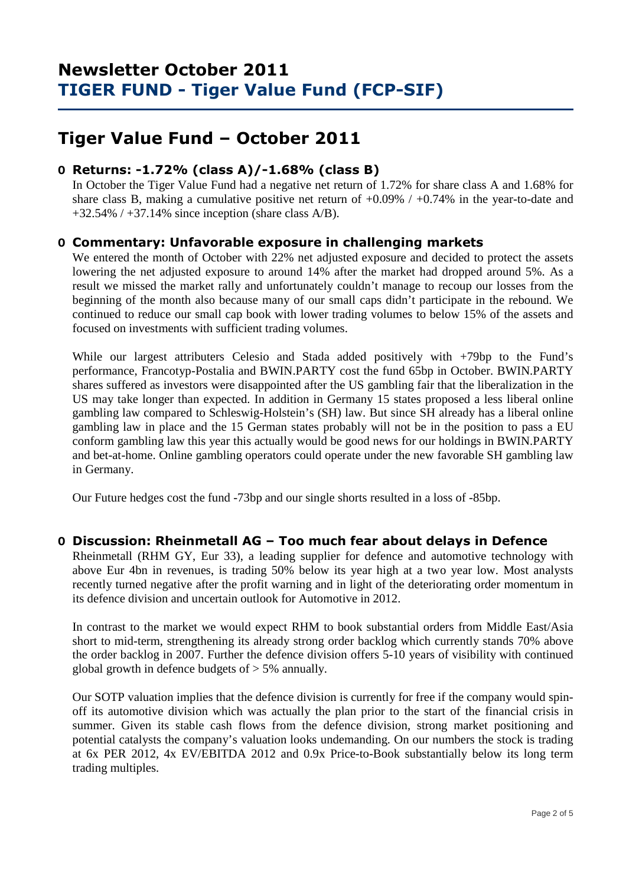# **Tiger Value Fund – October 2011**

## **O Returns: -1.72% (class A)/-1.68% (class B)**

 In October the Tiger Value Fund had a negative net return of 1.72% for share class A and 1.68% for share class B, making a cumulative positive net return of +0.09% / +0.74% in the year-to-date and  $+32.54\%$  /  $+37.14\%$  since inception (share class A/B).

## **O Commentary: Unfavorable exposure in challenging markets**

We entered the month of October with 22% net adjusted exposure and decided to protect the assets lowering the net adjusted exposure to around 14% after the market had dropped around 5%. As a result we missed the market rally and unfortunately couldn't manage to recoup our losses from the beginning of the month also because many of our small caps didn't participate in the rebound. We continued to reduce our small cap book with lower trading volumes to below 15% of the assets and focused on investments with sufficient trading volumes.

While our largest attributers Celesio and Stada added positively with  $+79bp$  to the Fund's performance, Francotyp-Postalia and BWIN.PARTY cost the fund 65bp in October. BWIN.PARTY shares suffered as investors were disappointed after the US gambling fair that the liberalization in the US may take longer than expected. In addition in Germany 15 states proposed a less liberal online gambling law compared to Schleswig-Holstein's (SH) law. But since SH already has a liberal online gambling law in place and the 15 German states probably will not be in the position to pass a EU conform gambling law this year this actually would be good news for our holdings in BWIN.PARTY and bet-at-home. Online gambling operators could operate under the new favorable SH gambling law in Germany.

Our Future hedges cost the fund -73bp and our single shorts resulted in a loss of -85bp.

## **O Discussion: Rheinmetall AG – Too much fear about delays in Defence**

Rheinmetall (RHM GY, Eur 33), a leading supplier for defence and automotive technology with above Eur 4bn in revenues, is trading 50% below its year high at a two year low. Most analysts recently turned negative after the profit warning and in light of the deteriorating order momentum in its defence division and uncertain outlook for Automotive in 2012.

In contrast to the market we would expect RHM to book substantial orders from Middle East/Asia short to mid-term, strengthening its already strong order backlog which currently stands 70% above the order backlog in 2007. Further the defence division offers 5-10 years of visibility with continued global growth in defence budgets of  $>$  5% annually.

Our SOTP valuation implies that the defence division is currently for free if the company would spinoff its automotive division which was actually the plan prior to the start of the financial crisis in summer. Given its stable cash flows from the defence division, strong market positioning and potential catalysts the company's valuation looks undemanding. On our numbers the stock is trading at 6x PER 2012, 4x EV/EBITDA 2012 and 0.9x Price-to-Book substantially below its long term trading multiples.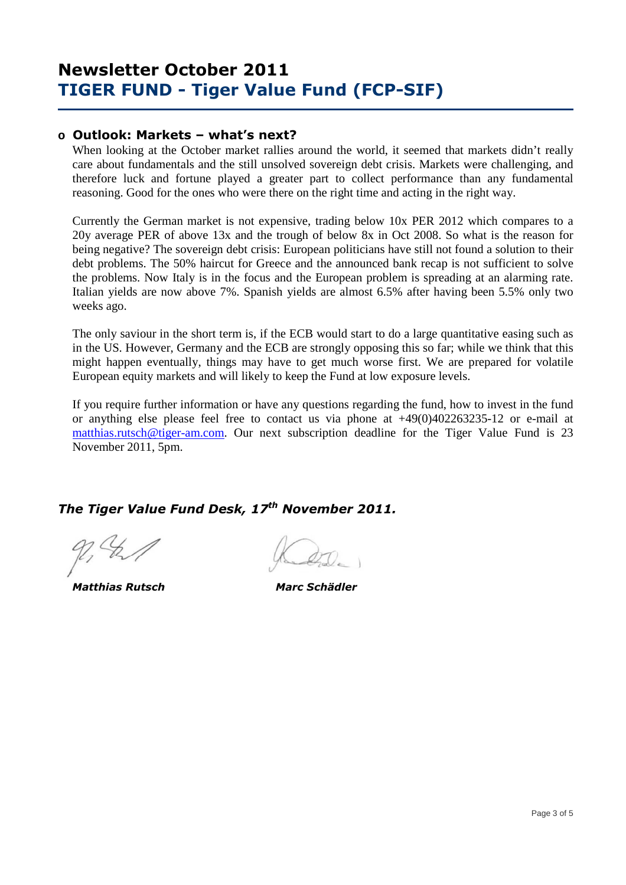### **o Outlook: Markets – what's next?**

When looking at the October market rallies around the world, it seemed that markets didn't really care about fundamentals and the still unsolved sovereign debt crisis. Markets were challenging, and therefore luck and fortune played a greater part to collect performance than any fundamental reasoning. Good for the ones who were there on the right time and acting in the right way.

Currently the German market is not expensive, trading below 10x PER 2012 which compares to a 20y average PER of above 13x and the trough of below 8x in Oct 2008. So what is the reason for being negative? The sovereign debt crisis: European politicians have still not found a solution to their debt problems. The 50% haircut for Greece and the announced bank recap is not sufficient to solve the problems. Now Italy is in the focus and the European problem is spreading at an alarming rate. Italian yields are now above 7%. Spanish yields are almost 6.5% after having been 5.5% only two weeks ago.

The only saviour in the short term is, if the ECB would start to do a large quantitative easing such as in the US. However, Germany and the ECB are strongly opposing this so far; while we think that this might happen eventually, things may have to get much worse first. We are prepared for volatile European equity markets and will likely to keep the Fund at low exposure levels.

If you require further information or have any questions regarding the fund, how to invest in the fund or anything else please feel free to contact us via phone at +49(0)402263235-12 or e-mail at matthias.rutsch@tiger-am.com. Our next subscription deadline for the Tiger Value Fund is 23 November 2011, 5pm.

## *The Tiger Value Fund Desk, 17th November 2011.*

 *Matthias Rutsch Marc Schädler*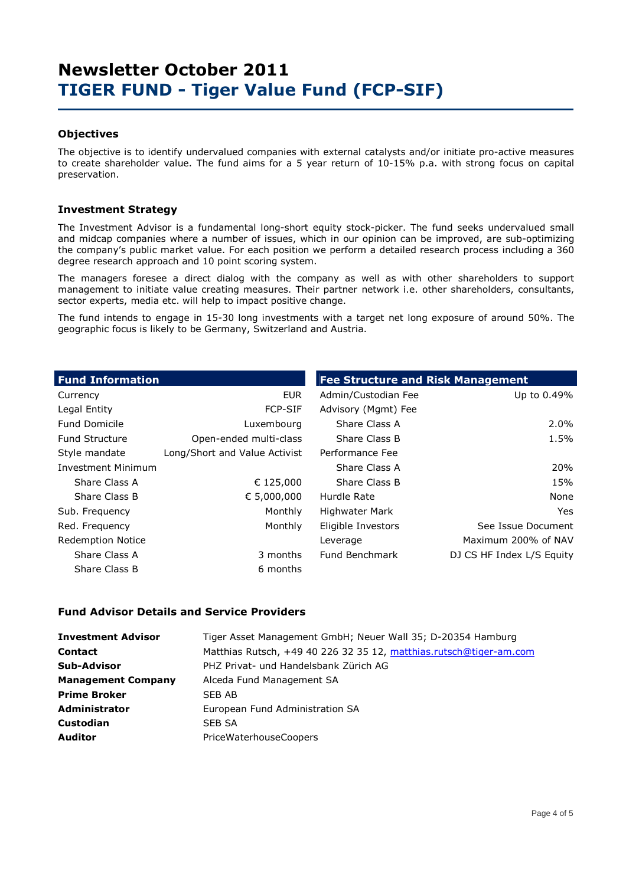### **Objectives**

The objective is to identify undervalued companies with external catalysts and/or initiate pro-active measures to create shareholder value. The fund aims for a 5 year return of 10-15% p.a. with strong focus on capital preservation.

### **Investment Strategy**

The Investment Advisor is a fundamental long-short equity stock-picker. The fund seeks undervalued small and midcap companies where a number of issues, which in our opinion can be improved, are sub-optimizing the company's public market value. For each position we perform a detailed research process including a 360 degree research approach and 10 point scoring system.

The managers foresee a direct dialog with the company as well as with other shareholders to support management to initiate value creating measures. Their partner network i.e. other shareholders, consultants, sector experts, media etc. will help to impact positive change.

The fund intends to engage in 15-30 long investments with a target net long exposure of around 50%. The geographic focus is likely to be Germany, Switzerland and Austria.

| <b>Fund Information</b>   |                               | <b>Fee Structure and Risk Management</b> |                           |  |  |  |  |
|---------------------------|-------------------------------|------------------------------------------|---------------------------|--|--|--|--|
| Currency                  | <b>EUR</b>                    | Admin/Custodian Fee                      | Up to 0.49%               |  |  |  |  |
| Legal Entity              | <b>FCP-SIF</b>                | Advisory (Mgmt) Fee                      |                           |  |  |  |  |
| <b>Fund Domicile</b>      | Luxembourg                    | Share Class A                            | 2.0%                      |  |  |  |  |
| <b>Fund Structure</b>     | Open-ended multi-class        | Share Class B                            | 1.5%                      |  |  |  |  |
| Style mandate             | Long/Short and Value Activist | Performance Fee                          |                           |  |  |  |  |
| <b>Investment Minimum</b> |                               | Share Class A                            | 20%                       |  |  |  |  |
| Share Class A             | € 125,000                     | Share Class B                            | 15%                       |  |  |  |  |
| Share Class B             | € 5,000,000                   | Hurdle Rate                              | None                      |  |  |  |  |
| Sub. Frequency            | Monthly                       | <b>Highwater Mark</b>                    | Yes.                      |  |  |  |  |
| Red. Frequency            | Monthly                       | Eligible Investors                       | See Issue Document        |  |  |  |  |
| <b>Redemption Notice</b>  |                               | Leverage                                 | Maximum 200% of NAV       |  |  |  |  |
| Share Class A             | 3 months                      | Fund Benchmark                           | DJ CS HF Index L/S Equity |  |  |  |  |
| Share Class B             | 6 months                      |                                          |                           |  |  |  |  |

### **Fund Advisor Details and Service Providers**

| <b>Investment Advisor</b> | Tiger Asset Management GmbH; Neuer Wall 35; D-20354 Hamburg        |
|---------------------------|--------------------------------------------------------------------|
| <b>Contact</b>            | Matthias Rutsch, +49 40 226 32 35 12, matthias.rutsch@tiger-am.com |
| <b>Sub-Advisor</b>        | PHZ Privat- und Handelsbank Zürich AG                              |
| <b>Management Company</b> | Alceda Fund Management SA                                          |
| <b>Prime Broker</b>       | SEB AB                                                             |
| <b>Administrator</b>      | European Fund Administration SA                                    |
| <b>Custodian</b>          | SEB SA                                                             |
| <b>Auditor</b>            | <b>PriceWaterhouseCoopers</b>                                      |